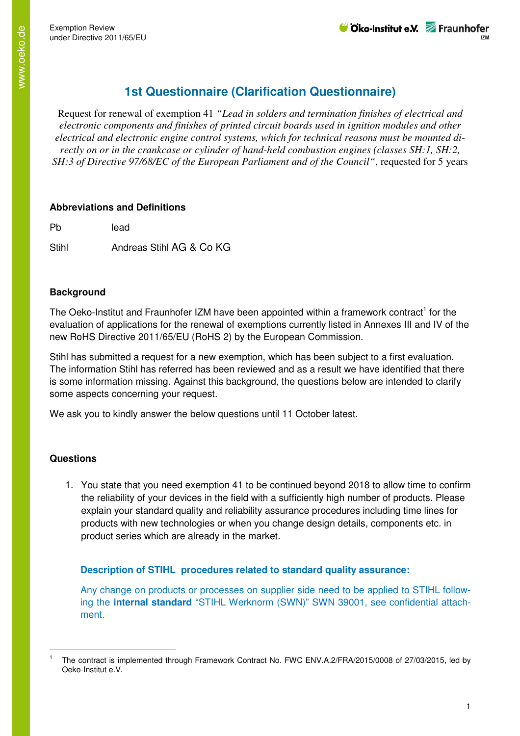# **1st Questionnaire (Clarification Questionnaire)**

Request for renewal of exemption 41 *"Lead in solders and termination finishes of electrical and electronic components and finishes of printed circuit boards used in ignition modules and other electrical and electronic engine control systems, which for technical reasons must be mounted directly on or in the crankcase or cylinder of hand-held combustion engines (classes SH:1, SH:2, SH:3 of Directive 97/68/EC of the European Parliament and of the Council"*, requested for 5 years

### **Abbreviations and Definitions**

Pb lead

Stihl **Andreas Stihl AG & Co KG** 

## **Background**

The Oeko-Institut and Fraunhofer IZM have been appointed within a framework contract<sup>1</sup> for the evaluation of applications for the renewal of exemptions currently listed in Annexes III and IV of the new RoHS Directive 2011/65/EU (RoHS 2) by the European Commission.

Stihl has submitted a request for a new exemption, which has been subject to a first evaluation. The information Stihl has referred has been reviewed and as a result we have identified that there is some information missing. Against this background, the questions below are intended to clarify some aspects concerning your request.

We ask you to kindly answer the below questions until 11 October latest.

## **Questions**

l

1. You state that you need exemption 41 to be continued beyond 2018 to allow time to confirm the reliability of your devices in the field with a sufficiently high number of products. Please explain your standard quality and reliability assurance procedures including time lines for products with new technologies or when you change design details, components etc. in product series which are already in the market.

## **Description of STIHL procedures related to standard quality assurance:**

Any change on products or processes on supplier side need to be applied to STIHL following the **internal standard** "STIHL Werknorm (SWN)" SWN 39001, see confidential attachment.

<sup>1</sup> The contract is implemented through Framework Contract No. FWC ENV.A.2/FRA/2015/0008 of 27/03/2015, led by Oeko-Institut e.V.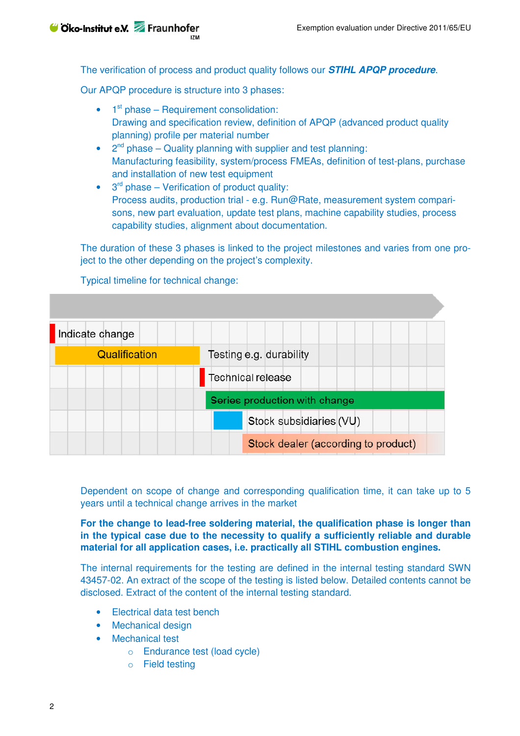The verification of process and product quality follows our **STIHL APQP procedure**.

Our APQP procedure is structure into 3 phases:

- $\bullet$  1<sup>st</sup> phase Requirement consolidation: Drawing and specification review, definition of APQP (advanced product quality planning) profile per material number
- $2<sup>nd</sup>$  phase Quality planning with supplier and test planning: Manufacturing feasibility, system/process FMEAs, definition of test-plans, purchase and installation of new test equipment
- $\bullet$  3<sup>rd</sup> phase Verification of product quality: Process audits, production trial - e.g. Run@Rate, measurement system comparisons, new part evaluation, update test plans, machine capability studies, process capability studies, alignment about documentation.

The duration of these 3 phases is linked to the project milestones and varies from one project to the other depending on the project's complexity.

Typical timeline for technical change:

| Indicate change |                                     |
|-----------------|-------------------------------------|
| Qualification   | Testing e.g. durability             |
|                 | Technical release                   |
|                 | Series production with change       |
|                 | Stock subsidiaries (VU)             |
|                 | Stock dealer (according to product) |

Dependent on scope of change and corresponding qualification time, it can take up to 5 years until a technical change arrives in the market

**For the change to lead-free soldering material, the qualification phase is longer than in the typical case due to the necessity to qualify a sufficiently reliable and durable material for all application cases, i.e. practically all STIHL combustion engines.** 

The internal requirements for the testing are defined in the internal testing standard SWN 43457-02. An extract of the scope of the testing is listed below. Detailed contents cannot be disclosed. Extract of the content of the internal testing standard.

- Electrical data test bench
- Mechanical design
- Mechanical test
	- o Endurance test (load cycle)
	- o Field testing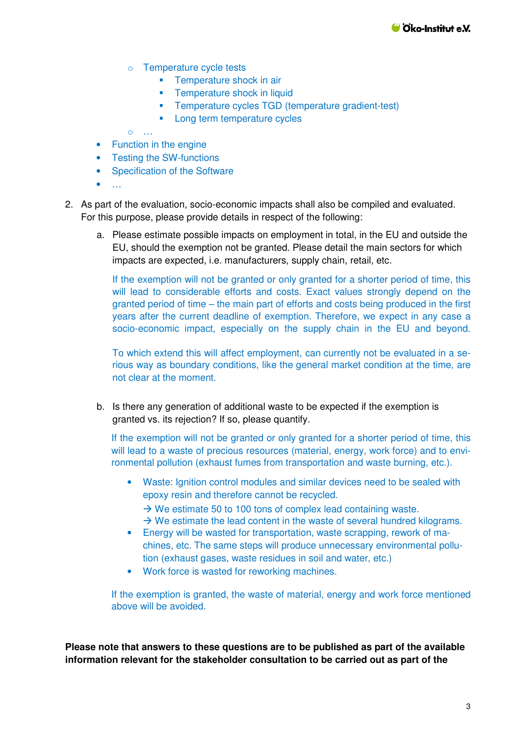- o Temperature cycle tests
	- **Temperature shock in air**
	- **Temperature shock in liquid**
	- **Temperature cycles TGD (temperature gradient-test)**
	- **Long term temperature cycles**

o …

- Function in the engine
- Testing the SW-functions
- Specification of the Software
- $\bullet$   $\dots$
- 2. As part of the evaluation, socio-economic impacts shall also be compiled and evaluated. For this purpose, please provide details in respect of the following:
	- a. Please estimate possible impacts on employment in total, in the EU and outside the EU, should the exemption not be granted. Please detail the main sectors for which impacts are expected, i.e. manufacturers, supply chain, retail, etc.

If the exemption will not be granted or only granted for a shorter period of time, this will lead to considerable efforts and costs. Exact values strongly depend on the granted period of time – the main part of efforts and costs being produced in the first years after the current deadline of exemption. Therefore, we expect in any case a socio-economic impact, especially on the supply chain in the EU and beyond.

To which extend this will affect employment, can currently not be evaluated in a serious way as boundary conditions, like the general market condition at the time, are not clear at the moment.

b. Is there any generation of additional waste to be expected if the exemption is granted vs. its rejection? If so, please quantify.

If the exemption will not be granted or only granted for a shorter period of time, this will lead to a waste of precious resources (material, energy, work force) and to environmental pollution (exhaust fumes from transportation and waste burning, etc.).

- Waste: Ignition control modules and similar devices need to be sealed with epoxy resin and therefore cannot be recycled.
	- → We estimate 50 to 100 tons of complex lead containing waste.
	- $\rightarrow$  We estimate the lead content in the waste of several hundred kilograms.
- Energy will be wasted for transportation, waste scrapping, rework of machines, etc. The same steps will produce unnecessary environmental pollution (exhaust gases, waste residues in soil and water, etc.)
- Work force is wasted for reworking machines.

If the exemption is granted, the waste of material, energy and work force mentioned above will be avoided.

**Please note that answers to these questions are to be published as part of the available information relevant for the stakeholder consultation to be carried out as part of the**